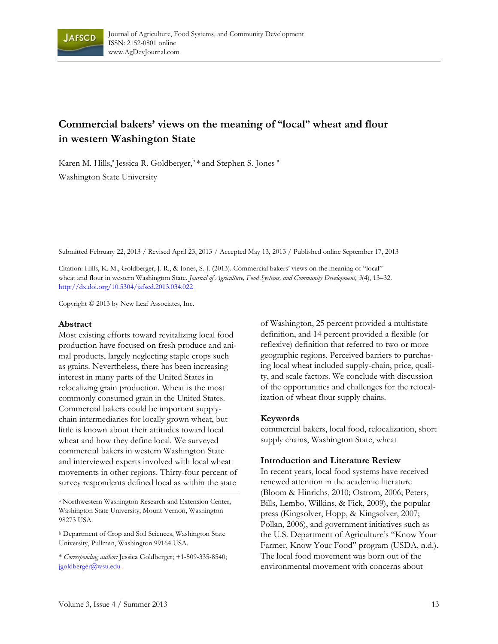

# **Commercial bakers' views on the meaning of "local" wheat and flour in western Washington State**

Karen M. Hills,<sup>a</sup> Jessica R. Goldberger,  $\frac{b}{x}$  and Stephen S. Jones <sup>a</sup> Washington State University

Submitted February 22, 2013 / Revised April 23, 2013 / Accepted May 13, 2013 / Published online September 17, 2013

Citation: Hills, K. M., Goldberger, J. R., & Jones, S. J. (2013). Commercial bakers' views on the meaning of "local" wheat and flour in western Washington State. *Journal of Agriculture, Food Systems, and Community Development, 3*(4), 13–32. http://dx.doi.org/10.5304/jafscd.2013.034.022

Copyright © 2013 by New Leaf Associates, Inc.

#### **Abstract**

Most existing efforts toward revitalizing local food production have focused on fresh produce and animal products, largely neglecting staple crops such as grains. Nevertheless, there has been increasing interest in many parts of the United States in relocalizing grain production. Wheat is the most commonly consumed grain in the United States. Commercial bakers could be important supplychain intermediaries for locally grown wheat, but little is known about their attitudes toward local wheat and how they define local. We surveyed commercial bakers in western Washington State and interviewed experts involved with local wheat movements in other regions. Thirty-four percent of survey respondents defined local as within the state

a Northwestern Washington Research and Extension Center, Washington State University, Mount Vernon, Washington 98273 USA.

b Department of Crop and Soil Sciences, Washington State University, Pullman, Washington 99164 USA.

\* *Corresponding author:* Jessica Goldberger; +1-509-335-8540; jgoldberger@wsu.edu

of Washington, 25 percent provided a multistate definition, and 14 percent provided a flexible (or reflexive) definition that referred to two or more geographic regions. Perceived barriers to purchasing local wheat included supply-chain, price, quality, and scale factors. We conclude with discussion of the opportunities and challenges for the relocalization of wheat flour supply chains.

#### **Keywords**

commercial bakers, local food, relocalization, short supply chains, Washington State, wheat

#### **Introduction and Literature Review**

In recent years, local food systems have received renewed attention in the academic literature (Bloom & Hinrichs, 2010; Ostrom, 2006; Peters, Bills, Lembo, Wilkins, & Fick, 2009), the popular press (Kingsolver, Hopp, & Kingsolver, 2007; Pollan, 2006), and government initiatives such as the U.S. Department of Agriculture's "Know Your Farmer, Know Your Food" program (USDA, n.d.). The local food movement was born out of the environmental movement with concerns about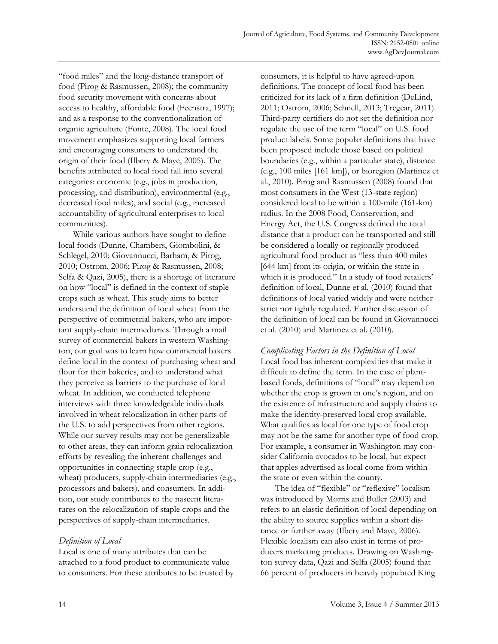"food miles" and the long-distance transport of food (Pirog & Rasmussen, 2008); the community food security movement with concerns about access to healthy, affordable food (Feenstra, 1997); and as a response to the conventionalization of organic agriculture (Fonte, 2008). The local food movement emphasizes supporting local farmers and encouraging consumers to understand the origin of their food (Ilbery & Maye, 2005). The benefits attributed to local food fall into several categories: economic (e.g., jobs in production, processing, and distribution), environmental (e.g., decreased food miles), and social (e.g., increased accountability of agricultural enterprises to local communities).

 While various authors have sought to define local foods (Dunne, Chambers, Giombolini, & Schlegel, 2010; Giovannucci, Barham, & Pirog, 2010; Ostrom, 2006; Pirog & Rasmussen, 2008; Selfa & Qazi, 2005), there is a shortage of literature on how "local" is defined in the context of staple crops such as wheat. This study aims to better understand the definition of local wheat from the perspective of commercial bakers, who are important supply-chain intermediaries. Through a mail survey of commercial bakers in western Washington, our goal was to learn how commercial bakers define local in the context of purchasing wheat and flour for their bakeries, and to understand what they perceive as barriers to the purchase of local wheat. In addition, we conducted telephone interviews with three knowledgeable individuals involved in wheat relocalization in other parts of the U.S. to add perspectives from other regions. While our survey results may not be generalizable to other areas, they can inform grain relocalization efforts by revealing the inherent challenges and opportunities in connecting staple crop (e.g., wheat) producers, supply-chain intermediaries (e.g., processors and bakers), and consumers. In addition, our study contributes to the nascent literatures on the relocalization of staple crops and the perspectives of supply-chain intermediaries.

### *Definition of Local*

Local is one of many attributes that can be attached to a food product to communicate value to consumers. For these attributes to be trusted by consumers, it is helpful to have agreed-upon definitions. The concept of local food has been criticized for its lack of a firm definition (DeLind, 2011; Ostrom, 2006; Schnell, 2013; Tregear, 2011). Third-party certifiers do not set the definition nor regulate the use of the term "local" on U.S. food product labels. Some popular definitions that have been proposed include those based on political boundaries (e.g., within a particular state), distance (e.g., 100 miles [161 km]), or bioregion (Martinez et al., 2010). Pirog and Rasmussen (2008) found that most consumers in the West (13-state region) considered local to be within a 100-mile (161-km) radius. In the 2008 Food, Conservation, and Energy Act, the U.S. Congress defined the total distance that a product can be transported and still be considered a locally or regionally produced agricultural food product as "less than 400 miles [644 km] from its origin, or within the state in which it is produced." In a study of food retailers' definition of local, Dunne et al. (2010) found that definitions of local varied widely and were neither strict nor tightly regulated. Further discussion of the definition of local can be found in Giovannucci et al. (2010) and Martinez et al. (2010).

*Complicating Factors in the Definition of Local*  Local food has inherent complexities that make it difficult to define the term. In the case of plantbased foods, definitions of "local" may depend on whether the crop is grown in one's region, and on the existence of infrastructure and supply chains to make the identity-preserved local crop available. What qualifies as local for one type of food crop may not be the same for another type of food crop. For example, a consumer in Washington may consider California avocados to be local, but expect that apples advertised as local come from within the state or even within the county.

 The idea of "flexible" or "reflexive" localism was introduced by Morris and Buller (2003) and refers to an elastic definition of local depending on the ability to source supplies within a short distance or further away (Ilbery and Maye, 2006). Flexible localism can also exist in terms of producers marketing products. Drawing on Washington survey data, Qazi and Selfa (2005) found that 66 percent of producers in heavily populated King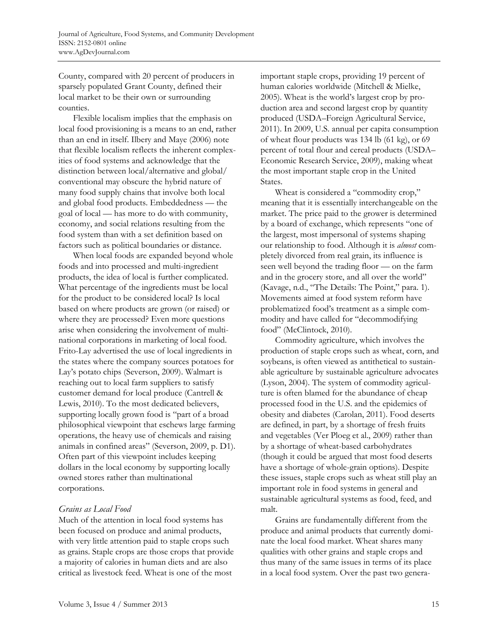County, compared with 20 percent of producers in sparsely populated Grant County, defined their local market to be their own or surrounding counties.

 Flexible localism implies that the emphasis on local food provisioning is a means to an end, rather than an end in itself. Ilbery and Maye (2006) note that flexible localism reflects the inherent complexities of food systems and acknowledge that the distinction between local/alternative and global/ conventional may obscure the hybrid nature of many food supply chains that involve both local and global food products. Embeddedness — the goal of local — has more to do with community, economy, and social relations resulting from the food system than with a set definition based on factors such as political boundaries or distance.

 When local foods are expanded beyond whole foods and into processed and multi-ingredient products, the idea of local is further complicated. What percentage of the ingredients must be local for the product to be considered local? Is local based on where products are grown (or raised) or where they are processed? Even more questions arise when considering the involvement of multinational corporations in marketing of local food. Frito-Lay advertised the use of local ingredients in the states where the company sources potatoes for Lay's potato chips (Severson, 2009). Walmart is reaching out to local farm suppliers to satisfy customer demand for local produce (Cantrell & Lewis, 2010). To the most dedicated believers, supporting locally grown food is "part of a broad philosophical viewpoint that eschews large farming operations, the heavy use of chemicals and raising animals in confined areas" (Severson, 2009, p. D1). Often part of this viewpoint includes keeping dollars in the local economy by supporting locally owned stores rather than multinational corporations.

### *Grains as Local Food*

Much of the attention in local food systems has been focused on produce and animal products, with very little attention paid to staple crops such as grains. Staple crops are those crops that provide a majority of calories in human diets and are also critical as livestock feed. Wheat is one of the most

important staple crops, providing 19 percent of human calories worldwide (Mitchell & Mielke, 2005). Wheat is the world's largest crop by production area and second largest crop by quantity produced (USDA–Foreign Agricultural Service, 2011). In 2009, U.S. annual per capita consumption of wheat flour products was 134 lb (61 kg), or 69 percent of total flour and cereal products (USDA– Economic Research Service, 2009), making wheat the most important staple crop in the United States.

 Wheat is considered a "commodity crop," meaning that it is essentially interchangeable on the market. The price paid to the grower is determined by a board of exchange, which represents "one of the largest, most impersonal of systems shaping our relationship to food. Although it is *almost* completely divorced from real grain, its influence is seen well beyond the trading floor — on the farm and in the grocery store, and all over the world" (Kavage, n.d., "The Details: The Point," para. 1). Movements aimed at food system reform have problematized food's treatment as a simple commodity and have called for "decommodifying food" (McClintock, 2010).

 Commodity agriculture, which involves the production of staple crops such as wheat, corn, and soybeans, is often viewed as antithetical to sustainable agriculture by sustainable agriculture advocates (Lyson, 2004). The system of commodity agriculture is often blamed for the abundance of cheap processed food in the U.S. and the epidemics of obesity and diabetes (Carolan, 2011). Food deserts are defined, in part, by a shortage of fresh fruits and vegetables (Ver Ploeg et al., 2009) rather than by a shortage of wheat-based carbohydrates (though it could be argued that most food deserts have a shortage of whole-grain options). Despite these issues, staple crops such as wheat still play an important role in food systems in general and sustainable agricultural systems as food, feed, and malt.

 Grains are fundamentally different from the produce and animal products that currently dominate the local food market. Wheat shares many qualities with other grains and staple crops and thus many of the same issues in terms of its place in a local food system. Over the past two genera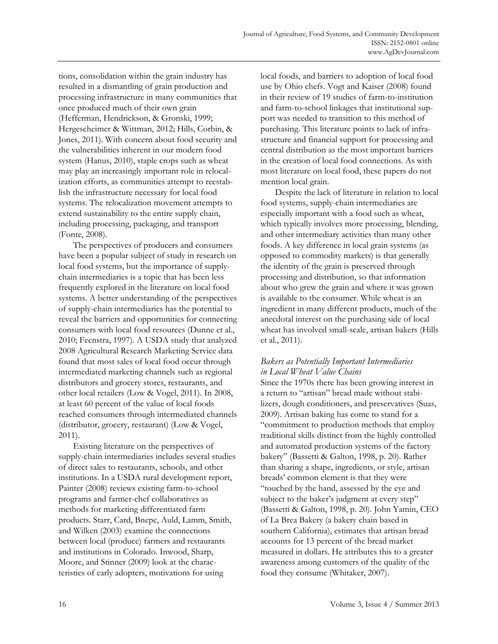tions, consolidation within the grain industry has resulted in a dismantling of grain production and processing infrastructure in many communities that once produced much of their own grain (Hefferman, Hendrickson, & Gronski, 1999; Hergescheimer & Wittman, 2012; Hills, Corbin, & Jones, 2011). With concern about food security and the vulnerabilities inherent in our modern food system (Hanus, 2010), staple crops such as wheat may play an increasingly important role in relocalization efforts, as communities attempt to reestablish the infrastructure necessary for local food systems. The relocalization movement attempts to extend sustainability to the entire supply chain, including processing, packaging, and transport (Fonte, 2008).

 The perspectives of producers and consumers have been a popular subject of study in research on local food systems, but the importance of supplychain intermediaries is a topic that has been less frequently explored in the literature on local food systems. A better understanding of the perspectives of supply-chain intermediaries has the potential to reveal the barriers and opportunities for connecting consumers with local food resources (Dunne et al., 2010; Feenstra, 1997). A USDA study that analyzed 2008 Agricultural Research Marketing Service data found that most sales of local food occur through intermediated marketing channels such as regional distributors and grocery stores, restaurants, and other local retailers (Low & Vogel, 2011). In 2008, at least 60 percent of the value of local foods reached consumers through intermediated channels (distributor, grocery, restaurant) (Low & Vogel, 2011).

 Existing literature on the perspectives of supply-chain intermediaries includes several studies of direct sales to restaurants, schools, and other institutions. In a USDA rural development report, Painter (2008) reviews existing farm-to-school programs and farmer-chef collaboratives as methods for marketing differentiated farm products. Starr, Card, Bnepe, Auld, Lamm, Smith, and Wilken (2003) examine the connections between local (produce) farmers and restaurants and institutions in Colorado. Inwood, Sharp, Moore, and Stinner (2009) look at the characteristics of early adopters, motivations for using

local foods, and barriers to adoption of local food use by Ohio chefs. Vogt and Kaiser (2008) found in their review of 19 studies of farm-to-institution and farm-to-school linkages that institutional support was needed to transition to this method of purchasing. This literature points to lack of infrastructure and financial support for processing and central distribution as the most important barriers in the creation of local food connections. As with most literature on local food, these papers do not mention local grain.

 Despite the lack of literature in relation to local food systems, supply-chain intermediaries are especially important with a food such as wheat, which typically involves more processing, blending, and other intermediary activities than many other foods. A key difference in local grain systems (as opposed to commodity markets) is that generally the identity of the grain is preserved through processing and distribution, so that information about who grew the grain and where it was grown is available to the consumer. While wheat is an ingredient in many different products, much of the anecdotal interest on the purchasing side of local wheat has involved small-scale, artisan bakers (Hills et al., 2011).

## *Bakers as Potentially Important Intermediaries in Local Wheat Value Chains*

Since the 1970s there has been growing interest in a return to "artisan" bread made without stabilizers, dough conditioners, and preservatives (Suas, 2009). Artisan baking has come to stand for a "commitment to production methods that employ traditional skills distinct from the highly controlled and automated production systems of the factory bakery" (Bassetti & Galton, 1998, p. 20). Rather than sharing a shape, ingredients, or style, artisan breads' common element is that they were "touched by the hand, assessed by the eye and subject to the baker's judgment at every step" (Bassetti & Galton, 1998, p. 20). John Yamin, CEO of La Brea Bakery (a bakery chain based in southern California), estimates that artisan bread accounts for 13 percent of the bread market measured in dollars. He attributes this to a greater awareness among customers of the quality of the food they consume (Whitaker, 2007).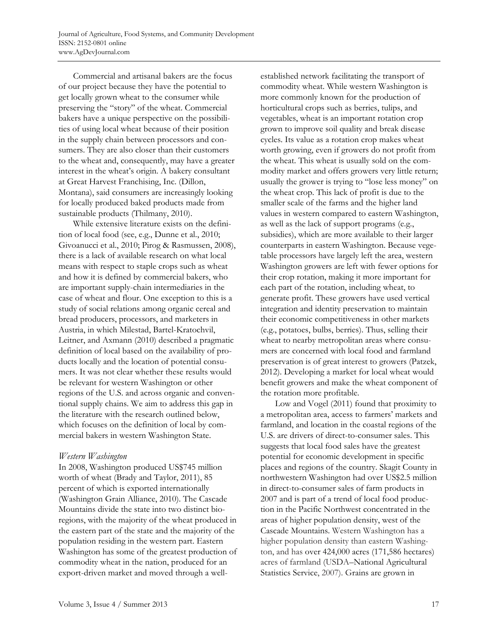Commercial and artisanal bakers are the focus of our project because they have the potential to get locally grown wheat to the consumer while preserving the "story" of the wheat. Commercial bakers have a unique perspective on the possibilities of using local wheat because of their position in the supply chain between processors and consumers. They are also closer than their customers to the wheat and, consequently, may have a greater interest in the wheat's origin. A bakery consultant at Great Harvest Franchising, Inc. (Dillon, Montana), said consumers are increasingly looking for locally produced baked products made from sustainable products (Thilmany, 2010).

 While extensive literature exists on the definition of local food (see, e.g., Dunne et al., 2010; Givoanucci et al., 2010; Pirog & Rasmussen, 2008), there is a lack of available research on what local means with respect to staple crops such as wheat and how it is defined by commercial bakers, who are important supply-chain intermediaries in the case of wheat and flour. One exception to this is a study of social relations among organic cereal and bread producers, processors, and marketers in Austria, in which Milestad, Bartel-Kratochvil, Leitner, and Axmann (2010) described a pragmatic definition of local based on the availability of products locally and the location of potential consumers. It was not clear whether these results would be relevant for western Washington or other regions of the U.S. and across organic and conventional supply chains. We aim to address this gap in the literature with the research outlined below, which focuses on the definition of local by commercial bakers in western Washington State.

### *Western Washington*

In 2008, Washington produced US\$745 million worth of wheat (Brady and Taylor, 2011), 85 percent of which is exported internationally (Washington Grain Alliance, 2010). The Cascade Mountains divide the state into two distinct bioregions, with the majority of the wheat produced in the eastern part of the state and the majority of the population residing in the western part. Eastern Washington has some of the greatest production of commodity wheat in the nation, produced for an export-driven market and moved through a wellestablished network facilitating the transport of commodity wheat. While western Washington is more commonly known for the production of horticultural crops such as berries, tulips, and vegetables, wheat is an important rotation crop grown to improve soil quality and break disease cycles. Its value as a rotation crop makes wheat worth growing, even if growers do not profit from the wheat. This wheat is usually sold on the commodity market and offers growers very little return; usually the grower is trying to "lose less money" on the wheat crop. This lack of profit is due to the smaller scale of the farms and the higher land values in western compared to eastern Washington, as well as the lack of support programs (e.g., subsidies), which are more available to their larger counterparts in eastern Washington. Because vegetable processors have largely left the area, western Washington growers are left with fewer options for their crop rotation, making it more important for each part of the rotation, including wheat, to generate profit. These growers have used vertical integration and identity preservation to maintain their economic competitiveness in other markets (e.g., potatoes, bulbs, berries). Thus, selling their wheat to nearby metropolitan areas where consumers are concerned with local food and farmland preservation is of great interest to growers (Patzek, 2012). Developing a market for local wheat would benefit growers and make the wheat component of the rotation more profitable.

 Low and Vogel (2011) found that proximity to a metropolitan area, access to farmers' markets and farmland, and location in the coastal regions of the U.S. are drivers of direct-to-consumer sales. This suggests that local food sales have the greatest potential for economic development in specific places and regions of the country. Skagit County in northwestern Washington had over US\$2.5 million in direct-to-consumer sales of farm products in 2007 and is part of a trend of local food production in the Pacific Northwest concentrated in the areas of higher population density, west of the Cascade Mountains. Western Washington has a higher population density than eastern Washington, and has over 424,000 acres (171,586 hectares) acres of farmland (USDA–National Agricultural Statistics Service, 2007). Grains are grown in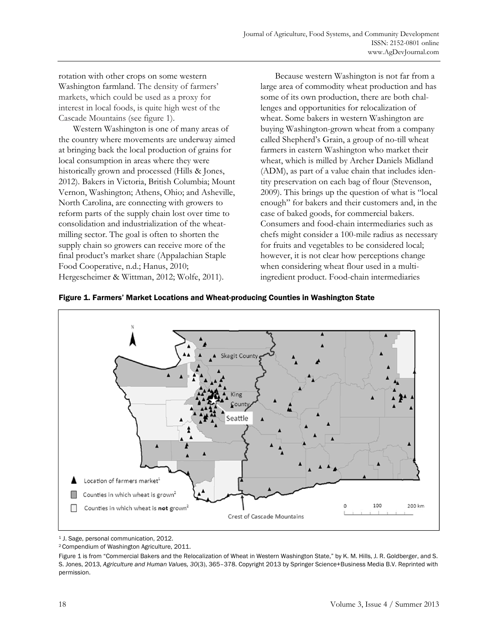rotation with other crops on some western Washington farmland. The density of farmers' markets, which could be used as a proxy for interest in local foods, is quite high west of the Cascade Mountains (see figure 1).

 Western Washington is one of many areas of the country where movements are underway aimed at bringing back the local production of grains for local consumption in areas where they were historically grown and processed (Hills & Jones, 2012). Bakers in Victoria, British Columbia; Mount Vernon, Washington; Athens, Ohio; and Asheville, North Carolina, are connecting with growers to reform parts of the supply chain lost over time to consolidation and industrialization of the wheatmilling sector. The goal is often to shorten the supply chain so growers can receive more of the final product's market share (Appalachian Staple Food Cooperative, n.d.; Hanus, 2010; Hergescheimer & Wittman, 2012; Wolfe, 2011).

 Because western Washington is not far from a large area of commodity wheat production and has some of its own production, there are both challenges and opportunities for relocalization of wheat. Some bakers in western Washington are buying Washington-grown wheat from a company called Shepherd's Grain, a group of no-till wheat farmers in eastern Washington who market their wheat, which is milled by Archer Daniels Midland (ADM), as part of a value chain that includes identity preservation on each bag of flour (Stevenson, 2009). This brings up the question of what is "local enough" for bakers and their customers and, in the case of baked goods, for commercial bakers. Consumers and food-chain intermediaries such as chefs might consider a 100-mile radius as necessary for fruits and vegetables to be considered local; however, it is not clear how perceptions change when considering wheat flour used in a multiingredient product. Food-chain intermediaries





<sup>1</sup> J. Sage, personal communication, 2012.

<sup>2</sup> Compendium of Washington Agriculture, 2011.

Figure 1 is from "Commercial Bakers and the Relocalization of Wheat in Western Washington State," by K. M. Hills, J. R. Goldberger, and S. S. Jones, 2013, *Agriculture and Human Values, 30*(3), 365–378. Copyright 2013 by Springer Science+Business Media B.V. Reprinted with permission.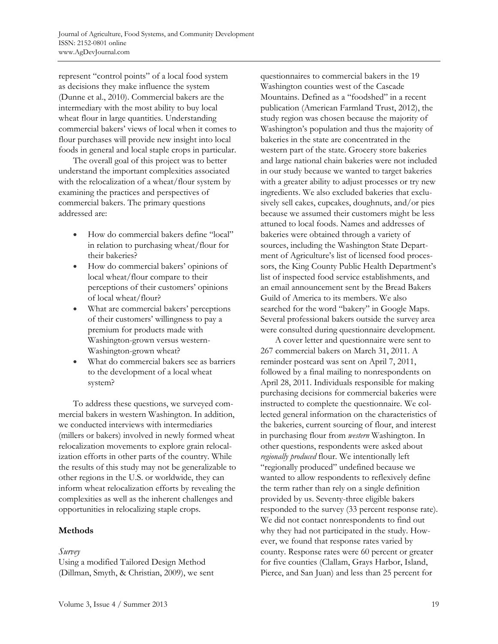represent "control points" of a local food system as decisions they make influence the system (Dunne et al., 2010). Commercial bakers are the intermediary with the most ability to buy local wheat flour in large quantities. Understanding commercial bakers' views of local when it comes to flour purchases will provide new insight into local foods in general and local staple crops in particular.

 The overall goal of this project was to better understand the important complexities associated with the relocalization of a wheat/flour system by examining the practices and perspectives of commercial bakers. The primary questions addressed are:

- How do commercial bakers define "local" in relation to purchasing wheat/flour for their bakeries?
- How do commercial bakers' opinions of local wheat/flour compare to their perceptions of their customers' opinions of local wheat/flour?
- What are commercial bakers' perceptions of their customers' willingness to pay a premium for products made with Washington-grown versus western-Washington-grown wheat?
- What do commercial bakers see as barriers to the development of a local wheat system?

 To address these questions, we surveyed commercial bakers in western Washington. In addition, we conducted interviews with intermediaries (millers or bakers) involved in newly formed wheat relocalization movements to explore grain relocalization efforts in other parts of the country. While the results of this study may not be generalizable to other regions in the U.S. or worldwide, they can inform wheat relocalization efforts by revealing the complexities as well as the inherent challenges and opportunities in relocalizing staple crops.

# **Methods**

### *Survey*

Using a modified Tailored Design Method (Dillman, Smyth, & Christian, 2009), we sent questionnaires to commercial bakers in the 19 Washington counties west of the Cascade Mountains. Defined as a "foodshed" in a recent publication (American Farmland Trust, 2012), the study region was chosen because the majority of Washington's population and thus the majority of bakeries in the state are concentrated in the western part of the state. Grocery store bakeries and large national chain bakeries were not included in our study because we wanted to target bakeries with a greater ability to adjust processes or try new ingredients. We also excluded bakeries that exclusively sell cakes, cupcakes, doughnuts, and/or pies because we assumed their customers might be less attuned to local foods. Names and addresses of bakeries were obtained through a variety of sources, including the Washington State Department of Agriculture's list of licensed food processors, the King County Public Health Department's list of inspected food service establishments, and an email announcement sent by the Bread Bakers Guild of America to its members. We also searched for the word "bakery" in Google Maps. Several professional bakers outside the survey area were consulted during questionnaire development.

 A cover letter and questionnaire were sent to 267 commercial bakers on March 31, 2011. A reminder postcard was sent on April 7, 2011, followed by a final mailing to nonrespondents on April 28, 2011. Individuals responsible for making purchasing decisions for commercial bakeries were instructed to complete the questionnaire. We collected general information on the characteristics of the bakeries, current sourcing of flour, and interest in purchasing flour from *western* Washington. In other questions, respondents were asked about *regionally produced* flour. We intentionally left "regionally produced" undefined because we wanted to allow respondents to reflexively define the term rather than rely on a single definition provided by us. Seventy-three eligible bakers responded to the survey (33 percent response rate). We did not contact nonrespondents to find out why they had not participated in the study. However, we found that response rates varied by county. Response rates were 60 percent or greater for five counties (Clallam, Grays Harbor, Island, Pierce, and San Juan) and less than 25 percent for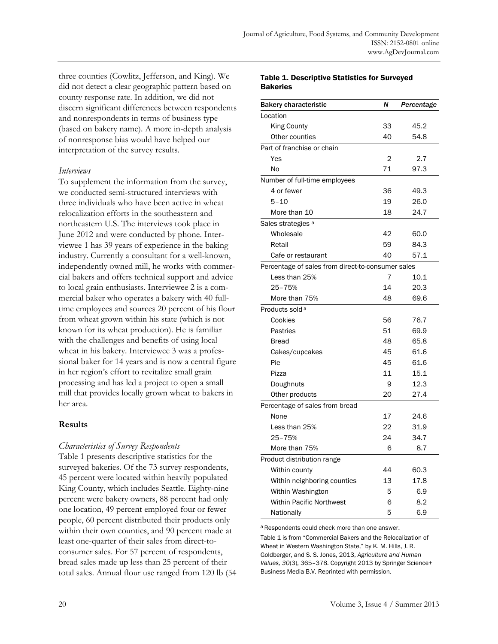three counties (Cowlitz, Jefferson, and King). We did not detect a clear geographic pattern based on county response rate. In addition, we did not discern significant differences between respondents and nonrespondents in terms of business type (based on bakery name). A more in-depth analysis of nonresponse bias would have helped our interpretation of the survey results.

### *Interviews*

To supplement the information from the survey, we conducted semi-structured interviews with three individuals who have been active in wheat relocalization efforts in the southeastern and northeastern U.S. The interviews took place in June 2012 and were conducted by phone. Interviewee 1 has 39 years of experience in the baking industry. Currently a consultant for a well-known, independently owned mill, he works with commercial bakers and offers technical support and advice to local grain enthusiasts. Interviewee 2 is a commercial baker who operates a bakery with 40 fulltime employees and sources 20 percent of his flour from wheat grown within his state (which is not known for its wheat production). He is familiar with the challenges and benefits of using local wheat in his bakery. Interviewee 3 was a professional baker for 14 years and is now a central figure in her region's effort to revitalize small grain processing and has led a project to open a small mill that provides locally grown wheat to bakers in her area.

### **Results**

### *Characteristics of Survey Respondents*

Table 1 presents descriptive statistics for the surveyed bakeries. Of the 73 survey respondents, 45 percent were located within heavily populated King County, which includes Seattle. Eighty-nine percent were bakery owners, 88 percent had only one location, 49 percent employed four or fewer people, 60 percent distributed their products only within their own counties, and 90 percent made at least one-quarter of their sales from direct-toconsumer sales. For 57 percent of respondents, bread sales made up less than 25 percent of their total sales. Annual flour use ranged from 120 lb (54

#### Table 1. Descriptive Statistics for Surveyed **Bakeries**

| <b>Bakery characteristic</b>                      | N  | Percentage |  |
|---------------------------------------------------|----|------------|--|
| Location                                          |    |            |  |
| <b>King County</b>                                | 33 | 45.2       |  |
| Other counties                                    | 40 | 54.8       |  |
| Part of franchise or chain                        |    |            |  |
| Yes                                               | 2  | 2.7        |  |
| No                                                | 71 | 97.3       |  |
| Number of full-time employees                     |    |            |  |
| 4 or fewer                                        | 36 | 49.3       |  |
| $5 - 10$                                          | 19 | 26.0       |  |
| More than 10                                      | 18 | 24.7       |  |
| Sales strategies a                                |    |            |  |
| Wholesale                                         | 42 | 60.0       |  |
| Retail                                            | 59 | 84.3       |  |
| Cafe or restaurant                                | 40 | 57.1       |  |
| Percentage of sales from direct-to-consumer sales |    |            |  |
| Less than 25%                                     | 7  | 10.1       |  |
| 25-75%                                            | 14 | 20.3       |  |
| More than 75%                                     | 48 | 69.6       |  |
| Products sold <sup>a</sup>                        |    |            |  |
| Cookies                                           | 56 | 76.7       |  |
| Pastries                                          | 51 | 69.9       |  |
| <b>Bread</b>                                      | 48 | 65.8       |  |
| Cakes/cupcakes                                    | 45 | 61.6       |  |
| Pie                                               | 45 | 61.6       |  |
| Pizza                                             | 11 | 15.1       |  |
| Doughnuts                                         | 9  | 12.3       |  |
| Other products                                    | 20 | 27.4       |  |
| Percentage of sales from bread                    |    |            |  |
| None                                              | 17 | 24.6       |  |
| Less than 25%                                     | 22 | 31.9       |  |
| 25-75%                                            | 24 | 34.7       |  |
| More than 75%                                     | 6  | 8.7        |  |
| Product distribution range                        |    |            |  |
| Within county                                     | 44 | 60.3       |  |
| Within neighboring counties                       | 13 | 17.8       |  |
| Within Washington                                 | 5  | 6.9        |  |
| <b>Within Pacific Northwest</b>                   | 6  | 8.2        |  |
| Nationally                                        | 5  | 6.9        |  |

a Respondents could check more than one answer.

Table 1 is from "Commercial Bakers and the Relocalization of Wheat in Western Washington State," by K. M. Hills, J. R. Goldberger, and S. S. Jones, 2013, *Agriculture and Human Values, 30*(3), 365–378. Copyright 2013 by Springer Science+ Business Media B.V. Reprinted with permission.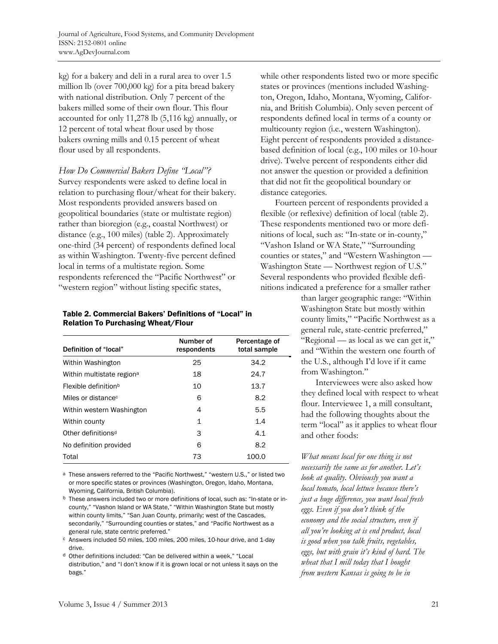kg) for a bakery and deli in a rural area to over 1.5 million lb (over 700,000 kg) for a pita bread bakery with national distribution. Only 7 percent of the bakers milled some of their own flour. This flour accounted for only 11,278 lb (5,116 kg) annually, or 12 percent of total wheat flour used by those bakers owning mills and 0.15 percent of wheat flour used by all respondents.

*How Do Commercial Bakers Define "Local"?*  Survey respondents were asked to define local in relation to purchasing flour/wheat for their bakery. Most respondents provided answers based on geopolitical boundaries (state or multistate region) rather than bioregion (e.g., coastal Northwest) or distance (e.g., 100 miles) (table 2). Approximately one-third (34 percent) of respondents defined local as within Washington. Twenty-five percent defined local in terms of a multistate region. Some respondents referenced the "Pacific Northwest" or "western region" without listing specific states,

#### Table 2. Commercial Bakers' Definitions of "Local" in Relation To Purchasing Wheat/Flour

| Definition of "local"                 | Number of<br>respondents | Percentage of<br>total sample |
|---------------------------------------|--------------------------|-------------------------------|
| Within Washington                     | 25                       | 34.2                          |
| Within multistate region <sup>a</sup> | 18                       | 24.7                          |
| Flexible definition <sup>b</sup>      | 10                       | 13.7                          |
| Miles or distance <sup>c</sup>        | 6                        | 8.2                           |
| Within western Washington             | 4                        | 5.5                           |
| Within county                         | 1                        | 1.4                           |
| Other definitions <sup>d</sup>        | 3                        | 4.1                           |
| No definition provided                | 6                        | 8.2                           |
| Total                                 | 73                       | 100.0                         |

a These answers referred to the "Pacific Northwest," "western U.S.," or listed two or more specific states or provinces (Washington, Oregon, Idaho, Montana, Wyoming, California, British Columbia).

b These answers included two or more definitions of local, such as: "In-state or incounty," "Vashon Island or WA State," "Within Washington State but mostly within county limits," "San Juan County, primarily; west of the Cascades, secondarily," "Surrounding counties or states," and "Pacific Northwest as a general rule, state centric preferred."

c Answers included 50 miles, 100 miles, 200 miles, 10-hour drive, and 1-day drive.

d Other definitions included: "Can be delivered within a week," "Local distribution," and "I don't know if it is grown local or not unless it says on the bags."

while other respondents listed two or more specific states or provinces (mentions included Washington, Oregon, Idaho, Montana, Wyoming, California, and British Columbia). Only seven percent of respondents defined local in terms of a county or multicounty region (i.e., western Washington). Eight percent of respondents provided a distancebased definition of local (e.g., 100 miles or 10-hour drive). Twelve percent of respondents either did not answer the question or provided a definition that did not fit the geopolitical boundary or distance categories.

 Fourteen percent of respondents provided a flexible (or reflexive) definition of local (table 2). These respondents mentioned two or more definitions of local, such as: "In-state or in-county," "Vashon Island or WA State," "Surrounding counties or states," and "Western Washington — Washington State — Northwest region of U.S." Several respondents who provided flexible definitions indicated a preference for a smaller rather

> than larger geographic range: "Within Washington State but mostly within county limits," "Pacific Northwest as a general rule, state-centric preferred," "Regional — as local as we can get it," and "Within the western one fourth of the U.S., although I'd love if it came from Washington."

 Interviewees were also asked how they defined local with respect to wheat flour. Interviewee 1, a mill consultant, had the following thoughts about the term "local" as it applies to wheat flour and other foods:

*What means local for one thing is not necessarily the same as for another. Let's look at quality. Obviously you want a local tomato, local lettuce because there's just a huge difference, you want local fresh eggs. Even if you don't think of the economy and the social structure, even if all you're looking at is end product, local is good when you talk fruits, vegetables, eggs, but with grain it's kind of hard. The wheat that I mill today that I bought from western Kansas is going to be in*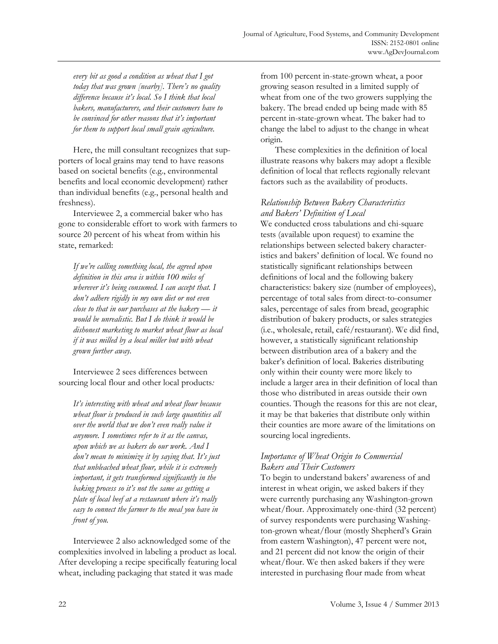*every bit as good a condition as wheat that I got today that was grown [nearby]. There's no quality difference because it's local. So I think that local bakers, manufacturers, and their customers have to be convinced for other reasons that it's important for them to support local small grain agriculture.* 

 Here, the mill consultant recognizes that supporters of local grains may tend to have reasons based on societal benefits (e.g., environmental benefits and local economic development) rather than individual benefits (e.g., personal health and freshness).

 Interviewee 2, a commercial baker who has gone to considerable effort to work with farmers to source 20 percent of his wheat from within his state, remarked:

*If we're calling something local, the agreed upon definition in this area is within 100 miles of wherever it's being consumed. I can accept that. I don't adhere rigidly in my own diet or not even close to that in our purchases at the bakery — it would be unrealistic. But I do think it would be dishonest marketing to market wheat flour as local if it was milled by a local miller but with wheat grown further away.* 

 Interviewee 2 sees differences between sourcing local flour and other local products*:* 

*It's interesting with wheat and wheat flour because wheat flour is produced in such large quantities all over the world that we don't even really value it anymore. I sometimes refer to it as the canvas, upon which we as bakers do our work. And I don't mean to minimize it by saying that. It's just that unbleached wheat flour, while it is extremely important, it gets transformed significantly in the baking process so it's not the same as getting a plate of local beef at a restaurant where it's really easy to connect the farmer to the meal you have in front of you.* 

 Interviewee 2 also acknowledged some of the complexities involved in labeling a product as local. After developing a recipe specifically featuring local wheat, including packaging that stated it was made

from 100 percent in-state-grown wheat, a poor growing season resulted in a limited supply of wheat from one of the two growers supplying the bakery. The bread ended up being made with 85 percent in-state-grown wheat. The baker had to change the label to adjust to the change in wheat origin.

 These complexities in the definition of local illustrate reasons why bakers may adopt a flexible definition of local that reflects regionally relevant factors such as the availability of products.

# *Relationship Between Bakery Characteristics and Bakers' Definition of Local*

We conducted cross tabulations and chi-square tests (available upon request) to examine the relationships between selected bakery characteristics and bakers' definition of local. We found no statistically significant relationships between definitions of local and the following bakery characteristics: bakery size (number of employees), percentage of total sales from direct-to-consumer sales, percentage of sales from bread, geographic distribution of bakery products, or sales strategies (i.e., wholesale, retail, café/restaurant). We did find, however, a statistically significant relationship between distribution area of a bakery and the baker's definition of local. Bakeries distributing only within their county were more likely to include a larger area in their definition of local than those who distributed in areas outside their own counties. Though the reasons for this are not clear, it may be that bakeries that distribute only within their counties are more aware of the limitations on sourcing local ingredients.

## *Importance of Wheat Origin to Commercial Bakers and Their Customers*

To begin to understand bakers' awareness of and interest in wheat origin, we asked bakers if they were currently purchasing any Washington-grown wheat/flour. Approximately one-third (32 percent) of survey respondents were purchasing Washington-grown wheat/flour (mostly Shepherd's Grain from eastern Washington), 47 percent were not, and 21 percent did not know the origin of their wheat/flour. We then asked bakers if they were interested in purchasing flour made from wheat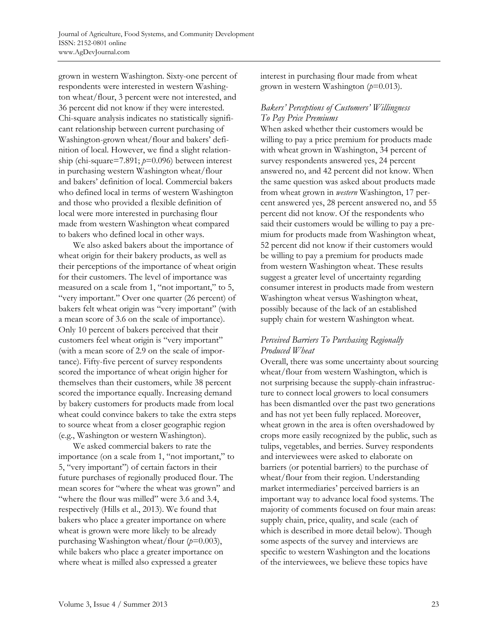grown in western Washington. Sixty-one percent of respondents were interested in western Washington wheat/flour, 3 percent were not interested, and 36 percent did not know if they were interested. Chi-square analysis indicates no statistically significant relationship between current purchasing of Washington-grown wheat/flour and bakers' definition of local. However, we find a slight relationship (chi-square=7.891; *p*=0.096) between interest in purchasing western Washington wheat/flour and bakers' definition of local. Commercial bakers who defined local in terms of western Washington and those who provided a flexible definition of local were more interested in purchasing flour made from western Washington wheat compared to bakers who defined local in other ways.

 We also asked bakers about the importance of wheat origin for their bakery products, as well as their perceptions of the importance of wheat origin for their customers. The level of importance was measured on a scale from 1, "not important," to 5, "very important." Over one quarter (26 percent) of bakers felt wheat origin was "very important" (with a mean score of 3.6 on the scale of importance). Only 10 percent of bakers perceived that their customers feel wheat origin is "very important" (with a mean score of 2.9 on the scale of importance). Fifty-five percent of survey respondents scored the importance of wheat origin higher for themselves than their customers, while 38 percent scored the importance equally. Increasing demand by bakery customers for products made from local wheat could convince bakers to take the extra steps to source wheat from a closer geographic region (e.g., Washington or western Washington).

 We asked commercial bakers to rate the importance (on a scale from 1, "not important," to 5, "very important") of certain factors in their future purchases of regionally produced flour. The mean scores for "where the wheat was grown" and "where the flour was milled" were 3.6 and 3.4, respectively (Hills et al., 2013). We found that bakers who place a greater importance on where wheat is grown were more likely to be already purchasing Washington wheat/flour (*p*=0.003), while bakers who place a greater importance on where wheat is milled also expressed a greater

interest in purchasing flour made from wheat grown in western Washington (*p*=0.013).

### *Bakers' Perceptions of Customers' Willingness To Pay Price Premiums*

When asked whether their customers would be willing to pay a price premium for products made with wheat grown in Washington, 34 percent of survey respondents answered yes, 24 percent answered no, and 42 percent did not know. When the same question was asked about products made from wheat grown in *western* Washington, 17 percent answered yes, 28 percent answered no, and 55 percent did not know. Of the respondents who said their customers would be willing to pay a premium for products made from Washington wheat, 52 percent did not know if their customers would be willing to pay a premium for products made from western Washington wheat. These results suggest a greater level of uncertainty regarding consumer interest in products made from western Washington wheat versus Washington wheat, possibly because of the lack of an established supply chain for western Washington wheat.

## *Perceived Barriers To Purchasing Regionally Produced Wheat*

Overall, there was some uncertainty about sourcing wheat/flour from western Washington, which is not surprising because the supply-chain infrastructure to connect local growers to local consumers has been dismantled over the past two generations and has not yet been fully replaced. Moreover, wheat grown in the area is often overshadowed by crops more easily recognized by the public, such as tulips, vegetables, and berries. Survey respondents and interviewees were asked to elaborate on barriers (or potential barriers) to the purchase of wheat/flour from their region. Understanding market intermediaries' perceived barriers is an important way to advance local food systems. The majority of comments focused on four main areas: supply chain, price, quality, and scale (each of which is described in more detail below). Though some aspects of the survey and interviews are specific to western Washington and the locations of the interviewees, we believe these topics have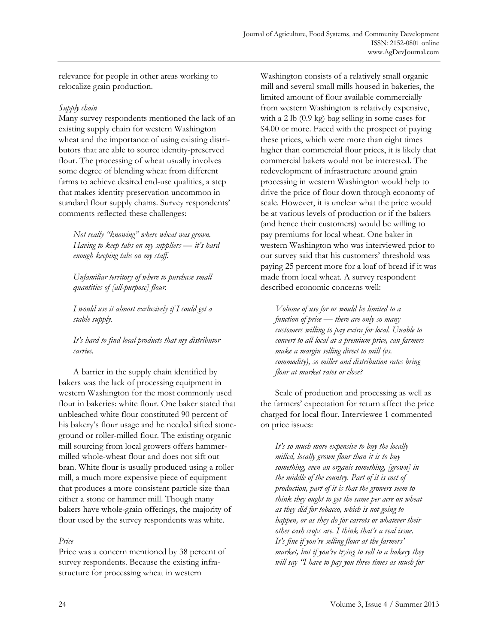relevance for people in other areas working to relocalize grain production.

### *Supply chain*

Many survey respondents mentioned the lack of an existing supply chain for western Washington wheat and the importance of using existing distributors that are able to source identity-preserved flour. The processing of wheat usually involves some degree of blending wheat from different farms to achieve desired end-use qualities, a step that makes identity preservation uncommon in standard flour supply chains. Survey respondents' comments reflected these challenges:

*Not really "knowing" where wheat was grown. Having to keep tabs on my suppliers — it's hard enough keeping tabs on my staff.* 

*Unfamiliar territory of where to purchase small quantities of [all-purpose] flour.* 

*I would use it almost exclusively if I could get a stable supply.* 

*It's hard to find local products that my distributor carries.* 

 A barrier in the supply chain identified by bakers was the lack of processing equipment in western Washington for the most commonly used flour in bakeries: white flour. One baker stated that unbleached white flour constituted 90 percent of his bakery's flour usage and he needed sifted stoneground or roller-milled flour. The existing organic mill sourcing from local growers offers hammermilled whole-wheat flour and does not sift out bran. White flour is usually produced using a roller mill, a much more expensive piece of equipment that produces a more consistent particle size than either a stone or hammer mill. Though many bakers have whole-grain offerings, the majority of flour used by the survey respondents was white.

### *Price*

Price was a concern mentioned by 38 percent of survey respondents. Because the existing infrastructure for processing wheat in western

Washington consists of a relatively small organic mill and several small mills housed in bakeries, the limited amount of flour available commercially from western Washington is relatively expensive, with a 2 lb (0.9 kg) bag selling in some cases for \$4.00 or more. Faced with the prospect of paying these prices, which were more than eight times higher than commercial flour prices, it is likely that commercial bakers would not be interested. The redevelopment of infrastructure around grain processing in western Washington would help to drive the price of flour down through economy of scale. However, it is unclear what the price would be at various levels of production or if the bakers (and hence their customers) would be willing to pay premiums for local wheat. One baker in western Washington who was interviewed prior to our survey said that his customers' threshold was paying 25 percent more for a loaf of bread if it was made from local wheat. A survey respondent described economic concerns well:

*Volume of use for us would be limited to a function of price — there are only so many customers willing to pay extra for local. Unable to convert to all local at a premium price, can farmers make a margin selling direct to mill (vs. commodity), so miller and distribution rates bring flour at market rates or close?* 

 Scale of production and processing as well as the farmers' expectation for return affect the price charged for local flour. Interviewee 1 commented on price issues:

*It's so much more expensive to buy the locally milled, locally grown flour than it is to buy something, even an organic something, [grown] in the middle of the country. Part of it is cost of production, part of it is that the growers seem to think they ought to get the same per acre on wheat as they did for tobacco, which is not going to happen, or as they do for carrots or whatever their other cash crops are. I think that's a real issue. It's fine if you're selling flour at the farmers' market, but if you're trying to sell to a bakery they will say "I have to pay you three times as much for*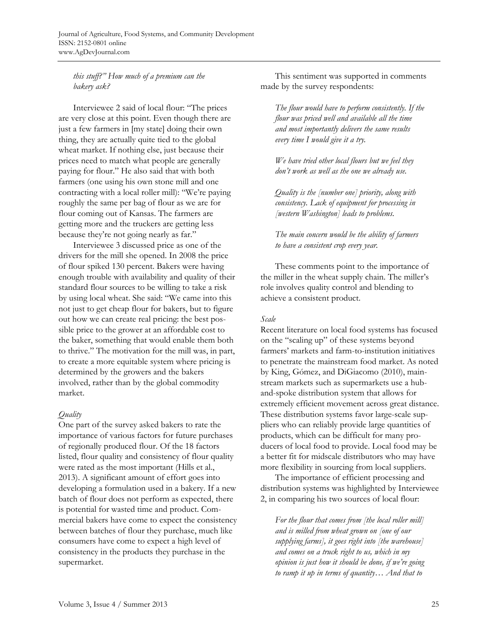## *this stuff?" How much of a premium can the bakery ask?*

 Interviewee 2 said of local flour: "The prices are very close at this point. Even though there are just a few farmers in [my state] doing their own thing, they are actually quite tied to the global wheat market. If nothing else, just because their prices need to match what people are generally paying for flour." He also said that with both farmers (one using his own stone mill and one contracting with a local roller mill): "We're paying roughly the same per bag of flour as we are for flour coming out of Kansas. The farmers are getting more and the truckers are getting less because they're not going nearly as far."

 Interviewee 3 discussed price as one of the drivers for the mill she opened. In 2008 the price of flour spiked 130 percent. Bakers were having enough trouble with availability and quality of their standard flour sources to be willing to take a risk by using local wheat. She said: "We came into this not just to get cheap flour for bakers, but to figure out how we can create real pricing: the best possible price to the grower at an affordable cost to the baker, something that would enable them both to thrive." The motivation for the mill was, in part, to create a more equitable system where pricing is determined by the growers and the bakers involved, rather than by the global commodity market.

### *Quality*

One part of the survey asked bakers to rate the importance of various factors for future purchases of regionally produced flour. Of the 18 factors listed, flour quality and consistency of flour quality were rated as the most important (Hills et al., 2013). A significant amount of effort goes into developing a formulation used in a bakery. If a new batch of flour does not perform as expected, there is potential for wasted time and product. Commercial bakers have come to expect the consistency between batches of flour they purchase, much like consumers have come to expect a high level of consistency in the products they purchase in the supermarket.

 This sentiment was supported in comments made by the survey respondents:

*The flour would have to perform consistently. If the flour was priced well and available all the time and most importantly delivers the same results every time I would give it a try.* 

*We have tried other local flours but we feel they don't work as well as the one we already use.* 

*Quality is the [number one] priority, along with consistency. Lack of equipment for processing in [western Washington] leads to problems.* 

*The main concern would be the ability of farmers to have a consistent crop every year.* 

 These comments point to the importance of the miller in the wheat supply chain. The miller's role involves quality control and blending to achieve a consistent product.

### *Scale*

Recent literature on local food systems has focused on the "scaling up" of these systems beyond farmers' markets and farm-to-institution initiatives to penetrate the mainstream food market. As noted by King, Gómez, and DiGiacomo (2010), mainstream markets such as supermarkets use a huband-spoke distribution system that allows for extremely efficient movement across great distance. These distribution systems favor large-scale suppliers who can reliably provide large quantities of products, which can be difficult for many producers of local food to provide. Local food may be a better fit for midscale distributors who may have more flexibility in sourcing from local suppliers.

 The importance of efficient processing and distribution systems was highlighted by Interviewee 2, in comparing his two sources of local flour:

*For the flour that comes from [the local roller mill] and is milled from wheat grown on [one of our supplying farms], it goes right into [the warehouse] and comes on a truck right to us, which in my opinion is just how it should be done, if we're going to ramp it up in terms of quantity… And that to*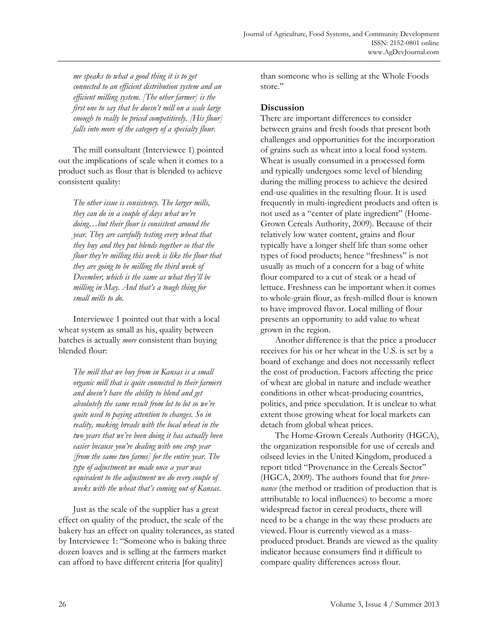*me speaks to what a good thing it is to get connected to an efficient distribution system and an efficient milling system. [The other farmer] is the first one to say that he doesn't mill on a scale large enough to really be priced competitively. [His flour] falls into more of the category of a specialty flour.* 

 The mill consultant (Interviewee 1) pointed out the implications of scale when it comes to a product such as flour that is blended to achieve consistent quality:

*The other issue is consistency. The larger mills, they can do in a couple of days what we're doing…but their flour is consistent around the year. They are carefully testing every wheat that they buy and they put blends together so that the flour they're milling this week is like the flour that they are going to be milling the third week of December, which is the same as what they'll be milling in May. And that's a tough thing for small mills to do.* 

 Interviewee 1 pointed out that with a local wheat system as small as his, quality between batches is actually *more* consistent than buying blended flour:

*The mill that we buy from in Kansas is a small organic mill that is quite connected to their farmers and doesn't have the ability to blend and get absolutely the same result from lot to lot so we're quite used to paying attention to changes. So in reality, making breads with the local wheat in the two years that we've been doing it has actually been easier because you're dealing with one crop year [from the same two farms] for the entire year. The type of adjustment we made once a year was equivalent to the adjustment we do every couple of weeks with the wheat that's coming out of Kansas.* 

 Just as the scale of the supplier has a great effect on quality of the product, the scale of the bakery has an effect on quality tolerances, as stated by Interviewee 1: "Someone who is baking three dozen loaves and is selling at the farmers market can afford to have different criteria [for quality]

than someone who is selling at the Whole Foods store."

### **Discussion**

There are important differences to consider between grains and fresh foods that present both challenges and opportunities for the incorporation of grains such as wheat into a local food system. Wheat is usually consumed in a processed form and typically undergoes some level of blending during the milling process to achieve the desired end-use qualities in the resulting flour. It is used frequently in multi-ingredient products and often is not used as a "center of plate ingredient" (Home-Grown Cereals Authority, 2009). Because of their relatively low water content, grains and flour typically have a longer shelf life than some other types of food products; hence "freshness" is not usually as much of a concern for a bag of white flour compared to a cut of steak or a head of lettuce. Freshness can be important when it comes to whole-grain flour, as fresh-milled flour is known to have improved flavor. Local milling of flour presents an opportunity to add value to wheat grown in the region.

 Another difference is that the price a producer receives for his or her wheat in the U.S. is set by a board of exchange and does not necessarily reflect the cost of production. Factors affecting the price of wheat are global in nature and include weather conditions in other wheat-producing countries, politics, and price speculation. It is unclear to what extent those growing wheat for local markets can detach from global wheat prices.

 The Home-Grown Cereals Authority (HGCA), the organization responsible for use of cereals and oilseed levies in the United Kingdom, produced a report titled "Provenance in the Cereals Sector" (HGCA, 2009). The authors found that for *provenance* (the method or tradition of production that is attributable to local influences) to become a more widespread factor in cereal products, there will need to be a change in the way these products are viewed. Flour is currently viewed as a massproduced product. Brands are viewed as the quality indicator because consumers find it difficult to compare quality differences across flour.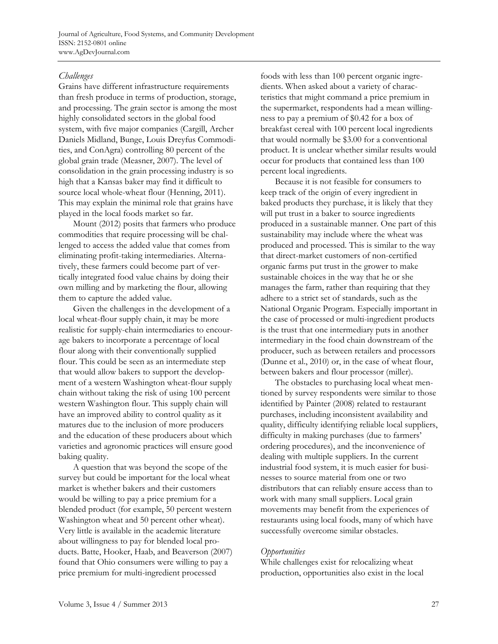Journal of Agriculture, Food Systems, and Community Development ISSN: 2152-0801 online www.AgDevJournal.com

### *Challenges*

Grains have different infrastructure requirements than fresh produce in terms of production, storage, and processing. The grain sector is among the most highly consolidated sectors in the global food system, with five major companies (Cargill, Archer Daniels Midland, Bunge, Louis Dreyfus Commodities, and ConAgra) controlling 80 percent of the global grain trade (Measner, 2007). The level of consolidation in the grain processing industry is so high that a Kansas baker may find it difficult to source local whole-wheat flour (Henning, 2011). This may explain the minimal role that grains have played in the local foods market so far.

 Mount (2012) posits that farmers who produce commodities that require processing will be challenged to access the added value that comes from eliminating profit-taking intermediaries. Alternatively, these farmers could become part of vertically integrated food value chains by doing their own milling and by marketing the flour, allowing them to capture the added value.

 Given the challenges in the development of a local wheat-flour supply chain, it may be more realistic for supply-chain intermediaries to encourage bakers to incorporate a percentage of local flour along with their conventionally supplied flour. This could be seen as an intermediate step that would allow bakers to support the development of a western Washington wheat-flour supply chain without taking the risk of using 100 percent western Washington flour. This supply chain will have an improved ability to control quality as it matures due to the inclusion of more producers and the education of these producers about which varieties and agronomic practices will ensure good baking quality.

 A question that was beyond the scope of the survey but could be important for the local wheat market is whether bakers and their customers would be willing to pay a price premium for a blended product (for example, 50 percent western Washington wheat and 50 percent other wheat). Very little is available in the academic literature about willingness to pay for blended local products. Batte, Hooker, Haab, and Beaverson (2007) found that Ohio consumers were willing to pay a price premium for multi-ingredient processed

foods with less than 100 percent organic ingredients. When asked about a variety of characteristics that might command a price premium in the supermarket, respondents had a mean willingness to pay a premium of \$0.42 for a box of breakfast cereal with 100 percent local ingredients that would normally be \$3.00 for a conventional product. It is unclear whether similar results would occur for products that contained less than 100 percent local ingredients.

 Because it is not feasible for consumers to keep track of the origin of every ingredient in baked products they purchase, it is likely that they will put trust in a baker to source ingredients produced in a sustainable manner. One part of this sustainability may include where the wheat was produced and processed. This is similar to the way that direct-market customers of non-certified organic farms put trust in the grower to make sustainable choices in the way that he or she manages the farm, rather than requiring that they adhere to a strict set of standards, such as the National Organic Program. Especially important in the case of processed or multi-ingredient products is the trust that one intermediary puts in another intermediary in the food chain downstream of the producer, such as between retailers and processors (Dunne et al., 2010) or, in the case of wheat flour, between bakers and flour processor (miller).

 The obstacles to purchasing local wheat mentioned by survey respondents were similar to those identified by Painter (2008) related to restaurant purchases, including inconsistent availability and quality, difficulty identifying reliable local suppliers, difficulty in making purchases (due to farmers' ordering procedures), and the inconvenience of dealing with multiple suppliers. In the current industrial food system, it is much easier for businesses to source material from one or two distributors that can reliably ensure access than to work with many small suppliers. Local grain movements may benefit from the experiences of restaurants using local foods, many of which have successfully overcome similar obstacles.

#### *Opportunities*

While challenges exist for relocalizing wheat production, opportunities also exist in the local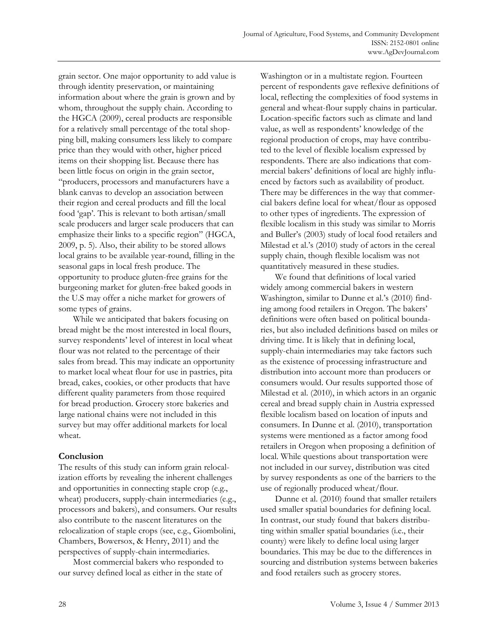grain sector. One major opportunity to add value is through identity preservation, or maintaining information about where the grain is grown and by whom, throughout the supply chain. According to the HGCA (2009), cereal products are responsible for a relatively small percentage of the total shopping bill, making consumers less likely to compare price than they would with other, higher priced items on their shopping list. Because there has been little focus on origin in the grain sector, "producers, processors and manufacturers have a blank canvas to develop an association between their region and cereal products and fill the local food 'gap'. This is relevant to both artisan/small scale producers and larger scale producers that can emphasize their links to a specific region" (HGCA, 2009, p. 5). Also, their ability to be stored allows local grains to be available year-round, filling in the seasonal gaps in local fresh produce. The opportunity to produce gluten-free grains for the burgeoning market for gluten-free baked goods in the U.S may offer a niche market for growers of some types of grains.

 While we anticipated that bakers focusing on bread might be the most interested in local flours, survey respondents' level of interest in local wheat flour was not related to the percentage of their sales from bread. This may indicate an opportunity to market local wheat flour for use in pastries, pita bread, cakes, cookies, or other products that have different quality parameters from those required for bread production. Grocery store bakeries and large national chains were not included in this survey but may offer additional markets for local wheat.

### **Conclusion**

The results of this study can inform grain relocalization efforts by revealing the inherent challenges and opportunities in connecting staple crop (e.g., wheat) producers, supply-chain intermediaries (e.g., processors and bakers), and consumers. Our results also contribute to the nascent literatures on the relocalization of staple crops (see, e.g., Giombolini, Chambers, Bowersox, & Henry, 2011) and the perspectives of supply-chain intermediaries.

 Most commercial bakers who responded to our survey defined local as either in the state of Washington or in a multistate region. Fourteen percent of respondents gave reflexive definitions of local, reflecting the complexities of food systems in general and wheat-flour supply chains in particular. Location-specific factors such as climate and land value, as well as respondents' knowledge of the regional production of crops, may have contributed to the level of flexible localism expressed by respondents. There are also indications that commercial bakers' definitions of local are highly influenced by factors such as availability of product. There may be differences in the way that commercial bakers define local for wheat/flour as opposed to other types of ingredients. The expression of flexible localism in this study was similar to Morris and Buller's (2003) study of local food retailers and Milestad et al.'s (2010) study of actors in the cereal supply chain, though flexible localism was not quantitatively measured in these studies.

 We found that definitions of local varied widely among commercial bakers in western Washington, similar to Dunne et al.'s (2010) finding among food retailers in Oregon. The bakers' definitions were often based on political boundaries, but also included definitions based on miles or driving time. It is likely that in defining local, supply-chain intermediaries may take factors such as the existence of processing infrastructure and distribution into account more than producers or consumers would. Our results supported those of Milestad et al. (2010), in which actors in an organic cereal and bread supply chain in Austria expressed flexible localism based on location of inputs and consumers. In Dunne et al. (2010), transportation systems were mentioned as a factor among food retailers in Oregon when proposing a definition of local. While questions about transportation were not included in our survey, distribution was cited by survey respondents as one of the barriers to the use of regionally produced wheat/flour.

 Dunne et al. (2010) found that smaller retailers used smaller spatial boundaries for defining local. In contrast, our study found that bakers distributing within smaller spatial boundaries (i.e., their county) were likely to define local using larger boundaries. This may be due to the differences in sourcing and distribution systems between bakeries and food retailers such as grocery stores.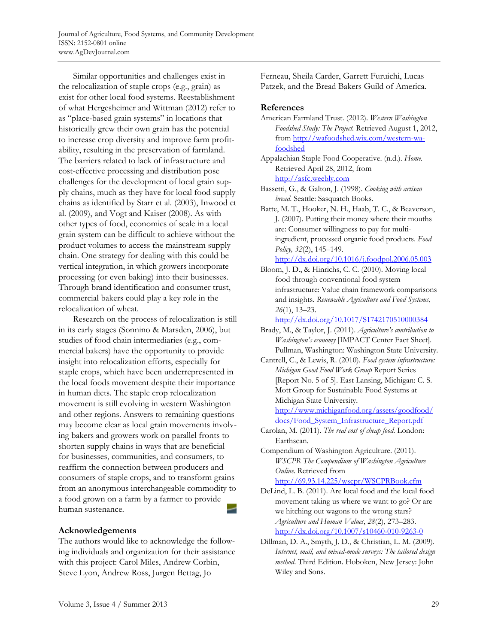Journal of Agriculture, Food Systems, and Community Development ISSN: 2152-0801 online www.AgDevJournal.com

 Similar opportunities and challenges exist in the relocalization of staple crops (e.g., grain) as exist for other local food systems. Reestablishment of what Hergesheimer and Wittman (2012) refer to as "place-based grain systems" in locations that historically grew their own grain has the potential to increase crop diversity and improve farm profitability, resulting in the preservation of farmland. The barriers related to lack of infrastructure and cost-effective processing and distribution pose challenges for the development of local grain supply chains, much as they have for local food supply chains as identified by Starr et al. (2003), Inwood et al. (2009), and Vogt and Kaiser (2008). As with other types of food, economies of scale in a local grain system can be difficult to achieve without the product volumes to access the mainstream supply chain. One strategy for dealing with this could be vertical integration, in which growers incorporate processing (or even baking) into their businesses. Through brand identification and consumer trust, commercial bakers could play a key role in the relocalization of wheat.

 Research on the process of relocalization is still in its early stages (Sonnino & Marsden, 2006), but studies of food chain intermediaries (e.g., commercial bakers) have the opportunity to provide insight into relocalization efforts, especially for staple crops, which have been underrepresented in the local foods movement despite their importance in human diets. The staple crop relocalization movement is still evolving in western Washington and other regions. Answers to remaining questions may become clear as local grain movements involving bakers and growers work on parallel fronts to shorten supply chains in ways that are beneficial for businesses, communities, and consumers, to reaffirm the connection between producers and consumers of staple crops, and to transform grains from an anonymous interchangeable commodity to a food grown on a farm by a farmer to provide human sustenance.

### **Acknowledgements**

The authors would like to acknowledge the following individuals and organization for their assistance with this project: Carol Miles, Andrew Corbin, Steve Lyon, Andrew Ross, Jurgen Bettag, Jo

Ferneau, Sheila Carder, Garrett Furuichi, Lucas Patzek, and the Bread Bakers Guild of America.

### **References**

- American Farmland Trust. (2012). *Western Washington Foodshed Study: The Project.* Retrieved August 1, 2012, from http://wafoodshed.wix.com/western-wafoodshed
- Appalachian Staple Food Cooperative. (n.d.). *Home.* [Retrieved April 28, 2012, from](http://wafoodshed.wix.com/western-wa-foodshed)  http://asfc.weebly.com
- Bassetti, G., & Galton, J. (1998). *Cooking with artisan bread*. Seattle: Sasquatch Books.
- Batte, M. T., Hooker, N. H., Haab, T. C., & Beaverson, J. (2007). Putting their money where their mouths are: Consumer willingness to pay for multiingredient, processed organic food products. *Food Policy, 32*(2), 145–149. http://dx.doi.org/10.1016/j.foodpol.2006.05.003

Bloom, J. D., & Hinrichs, C. C. (2010). Moving local food through conventional food system infrastructure: Value chain framework comparisons and insights. *Renewable Agriculture and Food Systems*, *26*(1), 13–23.

http://dx.doi.org/10.1017/S1742170510000384

Brady, M., & Taylor, J. (2011). *Agriculture's contribution to Washington's economy* [IMPACT Center Fact Sheet]*.*  Pullman, Washington: Washington State University.

Cantrell, C., & Lewis, R. (2010). *Food system infrastructure: Michigan Good Food Work Group* Report Series [Report No. 5 of 5]. East Lansing, Michigan: C. S. Mott Group for Sustainable Food Systems at Michigan State University.

[http://www.michiganfood.org/assets/goodfood/](http://www.michiganfood.org/assets/goodfood/docs/Food_System_Infrastructure_Report.pdf)  docs/Food\_System\_Infrastructure\_Report.pdf

- Carolan, M. (2011). *The real cost of cheap food.* London: Earthscan.
- Compendium of Washington Agriculture. (2011). *WSCPR The Compendium of Washington Agriculture Online.* Retrieved from

http://69.93.14.225/wscpr/WSCPRBook.cfm

- DeLind, L. B. (2011). Are local food and the local food movement taking us where we want to go? Or are we hitching out wagons to the wrong stars? *Agriculture and Human Values*, *28*(2), 273–283. http://dx.doi.org/10.1007/s10460-010-9263-0
- Dillman, D. A., Smyth, J. D., & Christian, L. M. (2009). *Internet, mail, and mixed-mode surveys: The tailored design method*. Third Edition. Hoboken, New Jersey: John Wiley and Sons.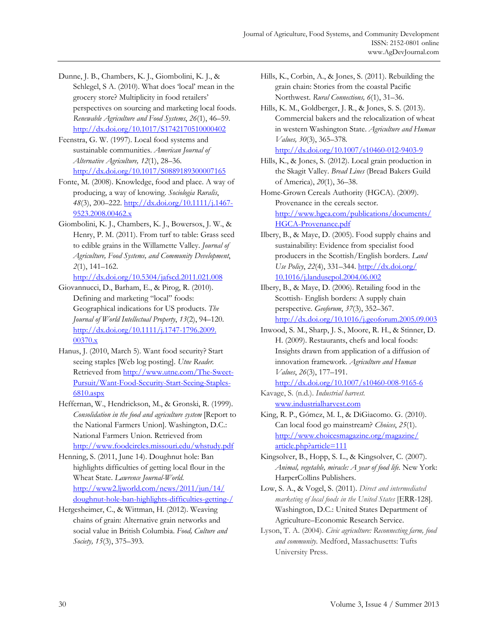- Dunne, J. B., Chambers, K. J., Giombolini, K. J., & Schlegel, S A. (2010). What does 'local' mean in the grocery store? Multiplicity in food retailers' perspectives on sourcing and marketing local foods. *Renewable Agriculture and Food Systems*, *26*(1), 46–59. http://dx.doi.org/10.1017/S1742170510000402
- Feenstra, G. W. (1997). Local food systems and sustainable communities. *American Journal of Alternative Agriculture, 12*(1), 28–36. http://dx.doi.org/10.1017/S0889189300007165
- Fonte, M. (2008). Knowledge, food and place. A way of producing, a way of knowing. *Sociologia Ruralis*, *48*(3), 200–222. http://dx.doi.org/10.1111/j.1467- 9523.2008.00462.x
- Giombolini, K. J., Chambers, K. J., Bowersox, J. W., & Henry, P. M. (2011). From turf to table: Grass seed to edible grains in the Willamette Valley. *Journal of Agriculture, Food Systems, and Community Development*, *2*(1), 141–162.

http://dx.doi.org/10.5304/jafscd.2011.021.008

- Giovannucci, D., Barham, E., & Pirog, R. (2010). Defining and marketing "local" foods: Geographical indications for US products. *The Journal of World Intellectual Property*, *13*(2), 94–120. [http://dx.doi.org/10.1111/j.1747-1796.2009.](http://dx.doi.org/10.1111/j.1747-1796.2009.00370.x) 00370.x
- Hanus, J. (2010, March 5). Want food security? Start seeing staples [Web log posting]. *Utne Reader.* Retrieved from http://www.utne.com/The-Sweet-Pursuit/Want-Food-Security-Start-Seeing-Staples-6810.aspx
- Heffernan, W., Hendrickson, M., & Gronski, R. (1999). *Consolidation in the food and agriculture system* [Report to the National Farmers Union]. Washington, D.C.: National Farmers Union. Retrieved from http://www.foodcircles.missouri.edu/whstudy.pdf
- Henning, S. (2011, June 14). Doughnut hole: Ban highlights difficulties of getting local flour in the Wheat State. *Lawrence Journal-World*. http://www2.ljworld.com/news/2011/jun/14/ [doughnut-hole-ban-highlights-difficulties-getting-/](http://www2.ljworld.com/news/2011/jun/14/doughnut-hole-ban-highlights-difficulties-getting-/)
- Hergesheimer, C., & Wittman, H. (2012). Weaving chains of grain: Alternative grain networks and social value in British Columbia. *Food, Culture and Society, 15*(3), 375–393.
- Hills, K., Corbin, A., & Jones, S. (2011). Rebuilding the grain chain: Stories from the coastal Pacific Northwest. *Rural Connections, 6*(1), 31–36.
- Hill[s, K. M., Goldberger, J. R., & Jones, S. S. \(2013\).](http://www.hgca.com/publications/documents/HGCA-Provenance.pdf)  Commercial bakers and the relocalization of wheat in western Washington State. *Agriculture and Human Values, 30*(3), 365–378*.* http://dx.doi.org/10.1007/s10460-012-9403-9
- Hills, K., & Jones, S. (2012). Local grain production in the Skagit Valley. *Bread Lines* (Bread Bakers Guild of America), *20*(1), 36–38.
- Home-Grown Cereals Authority (HGCA). (2009). Provenance in the cereals sector. http://www.hgca.com/publications/documents/ HGCA-Provenance.pdf
- Ilbery, B., & Maye, D. (2005). Food supply chains and sustainability: Evidence from specialist food producers in the Scottish/English borders. *Land Use Policy*, *22*(4), 331–344. http://dx.doi.org/ [10.1016/j.landusepol.2004.06.002](http://dx.doi.org/10.1016/j.landusepol.2004.06.002)
- Ilbery, B., & Maye, D. (2006). Retailing food in the Scottish- English borders: A supply chain perspective. *Geoforum*, *37*(3), 352–367. http://dx.doi.org/10.1016/j.geoforum.2005.09.003
- Inwood, S. M., Sharp, J. S., Moore, R. H., & Stinner, D. H. (2009). Restaurants, chefs and local foods: Insights drawn from application of a diffusion of innovation framework. *Agriculture and Human Values*, *26*(3), 177–191.

http://dx.doi.org/10.1007/s10460-008-9165-6

- Kavage, S. (n.d.). *Industrial harvest.* www.industrialharvest.com
- King, R. P., Gómez, M. I., & DiGiacomo. G. (2010). Can local food go mainstream? *Choices*, *25*(1). [http://www.choicesmagazine.org/magazine/](http://www.choicesmagazine.org/magazine/article.php?article=111)  article.php?article=111
- Kingsolver, B., Hopp, S. L., & Kingsolver, C. (2007). *Animal, vegetable, miracle: A year of food life.* New York: HarperCollins Publishers.
- Low, S. A., & Vogel, S. (2011). *Direct and intermediated marketing of local foods in the United States* [ERR-128]. Washington, D.C.: United States Department of Agriculture–Economic Research Service.
- Lyson, T. A. (2004). *Civic agriculture: Reconnecting farm, food and community.* Medford, Massachusetts: Tufts University Press.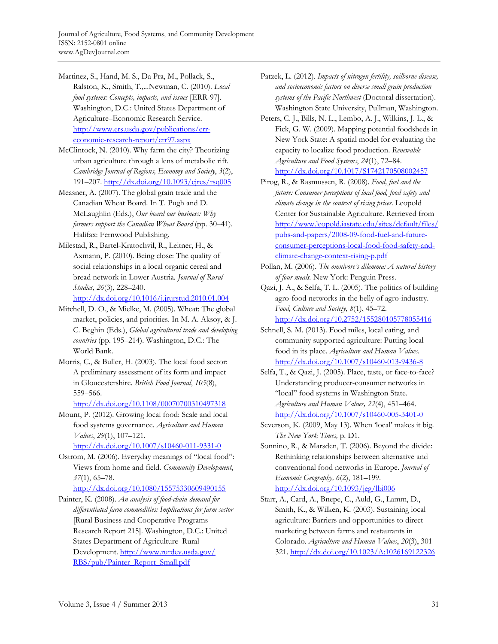- Martinez, S., Hand, M. S., Da Pra, M., Pollack, S., Ralston, K., Smith, T.,...Newman, C. (2010). *Local food systems: Concepts, impacts, and issues* [ERR-97]. Washington, D.C.: United States Department of Agriculture–Economic Research Service. http://www.ers.usda.gov/publications/erreconomic-research-report/err97.aspx
- McClintock, N. (2010). Why farm the city? Theorizing urban agriculture through a lens of metabolic rift. *Cambridge Journal of Regions, Economy and Society*, *3*(2), 191–207. http://dx.doi.org/10.1093/cjres/rsq005
- Measner, A. (2007). The global grain trade and the Canadian Wheat Board. In T. Pugh and D. McLaughlin (Eds.), *Our board our business: Why farmers support the Canadian Wheat Board* (pp. 30–41). Halifax: Fernwood Publishing.
- Milestad, R., Bartel-Kratochvil, R., Leitner, H., & Axmann, P. (2010). Being close: The quality of social relationships in a local organic cereal and bread network in Lower Austria*. Journal of Rural Studies*, *26*(3), 228–240.

http://dx.doi.org/10.1016/j.jrurstud.2010.01.004

- Mitchell, D. O., & Mielke, M. (2005). Wheat: The global market, policies, and priorities. In M. A. Aksoy, & J. C. Beghin (Eds.), *Global agricultural trade and developing countries* (pp. 195–214). Washington, D.C.: The World Bank.
- Morris, C., & Buller, H. (2003). The local food sector: A preliminary assessment of its form and impact in Gloucestershire. *British Food Journal*, *105*(8), 559–566.

http://dx.doi.org/10.1108/00070700310497318

Mount, P. (2012). Growing local food: Scale and local food systems governance. *Agriculture and Human Values*, *29*(1), 107–121.

http://dx.doi.org/10.1007/s10460-011-9331-0

Ostrom, M. (2006). Everyday meanings of "local food": Views from home and field. *Community Development*, *37*(1), 65–78.

http://dx.doi.org/10.1080/15575330609490155

Painter, K. (2008). *An analysis of food-chain demand for differentiated farm commodities: Implications for farm sector* [Rural Business and Cooperative Programs Research Report 215]. Washington, D.C.: United States Department of Agriculture–Rural [Development. http://www.rurdev.usda.gov/](http://www.rurdev.usda.gov/RBS/pub/Painter_Report_Small.pdf)  RBS/pub/Painter\_Report\_Small.pdf

- Patzek, L. (2012). *Impacts of nitrogen fertility, soilborne disease, and socioeconomic factors on diverse small grain production systems of the Pacific Northwest* (Doctoral dissertation). Washington State University, Pullman, Washington.
- Peters, C. J., Bills, N. L., Lembo, A. J., Wilkins, J. L., & Fick, G. W. (2009). Mapping potential foodsheds in New York State: A spatial model for evaluating the capacity to localize food production. *Renewable Agriculture and Food Systems*, *24*(1), 72–84. http://dx.doi.org/10.1017/S1742170508002457
- Pirog, R., & Rasmussen, R. (2008). *Food, fuel and the future: Consumer perceptions of local food, food safety and climate change in the context of rising prices.* Leopold Center for Sustainable Agriculture. Retrieved from [http://www.leopold.iastate.edu/sites/default/files/](http://www.leopold.iastate.edu/sites/default/files/pubs-and-papers/2008-09-food-fuel-and-future-consumer-perceptions-local-food-food-safety-and-climate-change-context-rising-p.pdf) pubs-and-papers/2008-09-food-fuel-and-futureconsumer-perceptions-local-food-food-safety-andclimate-change-context-rising-p.pdf
- Pollan, M. (2006). *The omnivore's dilemma: A natural history of four meals.* New York: Penguin Press.
- Qazi, J. A., & Selfa, T. L. (2005). The politics of building agro-food networks in the belly of agro-industry. *Food, Culture and Society, 8*(1), 45–72.

http://dx.doi.org/10.2752/155280105778055416

- Schnell, S. M. (2013). Food miles, local eating, and community supported agriculture: Putting local food in its place. *Agriculture and Human Values.*  http://dx.doi.org/10.1007/s10460-013-9436-8
- Selfa, T., & Qazi, J. (2005). Place, taste, or face-to-face? Understanding producer-consumer networks in "local" food systems in Washington State. *Agriculture and Human Values, 22*(4), 451*–*464. http://dx.doi.org/10.1007/s10460-005-3401-0
- Severson, K. (2009, May 13). When 'local' makes it big. *The New York Times,* p. D1.
- Sonnino, R., & Marsden, T. (2006). Beyond the divide: Rethinking relationships between alternative and conventional food networks in Europe. *Journal of Economic Geography, 6*(2), 181–199. http://dx.doi.org/10.1093/jeg/lbi006
- Starr, A., Card, A., Bnepe, C., Auld, G., Lamm, D., Smith, K., & Wilken, K. (2003). Sustaining local agriculture: Barriers and opportunities to direct marketing between farms and restaurants in Colorado. *Agriculture and Human Values*, *20*(3), 301– 321. http://dx.doi.org/10.1023/A:1026169122326